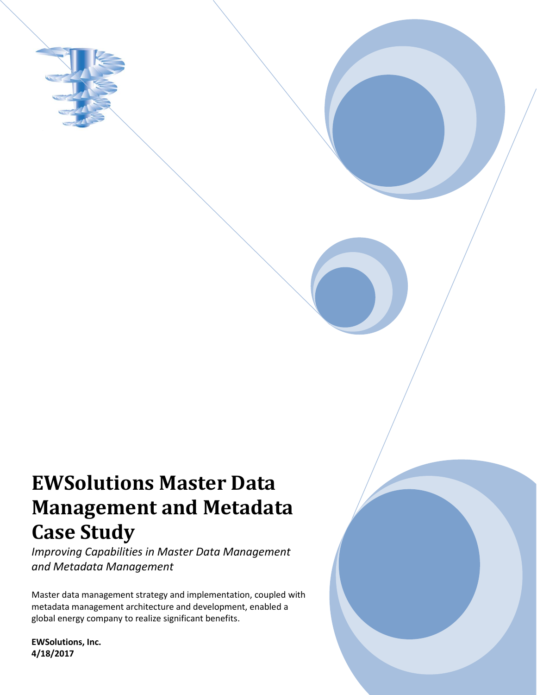

# **EWSolutions Master Data Management and Metadata Case Study**

*Improving Capabilities in Master Data Management and Metadata Management*

Master data management strategy and implementation, coupled with metadata management architecture and development, enabled a global energy company to realize significant benefits.

**EWSolutions, Inc. 4/18/2017**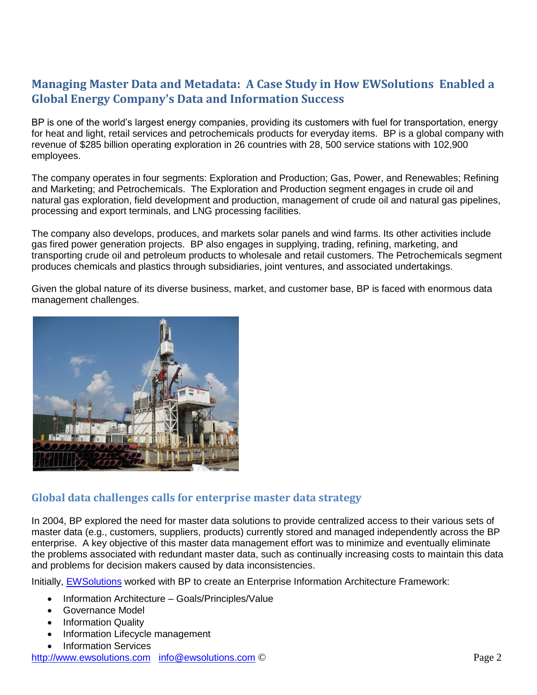## **Managing Master Data and Metadata: A Case Study in How EWSolutions Enabled a Global Energy Company's Data and Information Success**

BP is one of the world's largest energy companies, providing its customers with fuel for transportation, energy for heat and light, retail services and petrochemicals products for everyday items. BP is a global company with revenue of \$285 billion operating exploration in 26 countries with 28, 500 service stations with 102,900 employees.

The company operates in four segments: Exploration and Production; Gas, Power, and Renewables; Refining and Marketing; and Petrochemicals. The Exploration and Production segment engages in crude oil and natural gas exploration, field development and production, management of crude oil and natural gas pipelines, processing and export terminals, and LNG processing facilities.

The company also develops, produces, and markets solar panels and wind farms. Its other activities include gas fired power generation projects. BP also engages in supplying, trading, refining, marketing, and transporting crude oil and petroleum products to wholesale and retail customers. The Petrochemicals segment produces chemicals and plastics through subsidiaries, joint ventures, and associated undertakings.

Given the global nature of its diverse business, market, and customer base, BP is faced with enormous data management challenges.



### **Global data challenges calls for enterprise master data strategy**

In 2004, BP explored the need for master data solutions to provide centralized access to their various sets of master data (e.g., customers, suppliers, products) currently stored and managed independently across the BP enterprise. A key objective of this master data management effort was to minimize and eventually eliminate the problems associated with redundant master data, such as continually increasing costs to maintain this data and problems for decision makers caused by data inconsistencies.

Initially, [EWSolutions](http://www.ewsolutions.com/) worked with BP to create an Enterprise Information Architecture Framework:

- Information Architecture Goals/Principles/Value
- Governance Model
- Information Quality
- Information Lifecycle management
- Information Services

http://www.ewsolutions.com info@ewsolutions.com © Page 2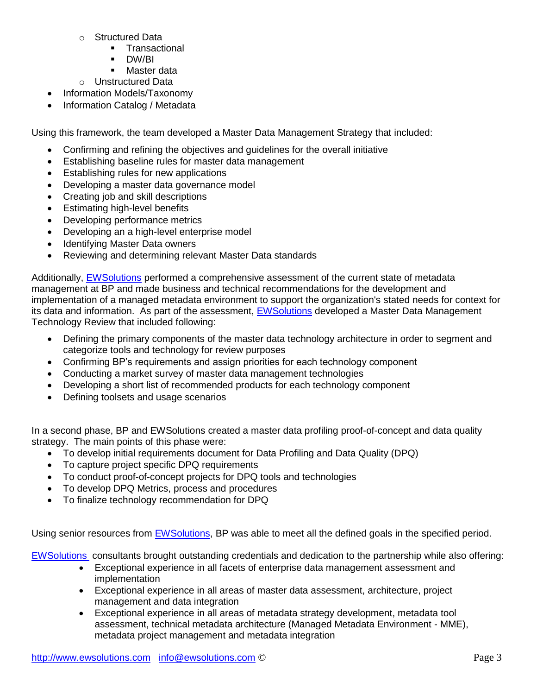- o Structured Data
	- **Transactional**
	- **DW/BI**
	- **Master data**
- o Unstructured Data
- Information Models/Taxonomy
- Information Catalog / Metadata

Using this framework, the team developed a Master Data Management Strategy that included:

- Confirming and refining the objectives and guidelines for the overall initiative
- Establishing baseline rules for master data management
- Establishing rules for new applications
- Developing a master data governance model
- Creating job and skill descriptions
- Estimating high-level benefits
- Developing performance metrics
- Developing an a high-level enterprise model
- Identifying Master Data owners
- Reviewing and determining relevant Master Data standards

Additionally, [EWSolutions](http://www.ewsolutions.com/) performed a comprehensive assessment of the current state of metadata management at BP and made business and technical recommendations for the development and implementation of a managed metadata environment to support the organization's stated needs for context for its data and information. As part of the assessment, [EWSolutions](http://www.ewsolutions.com/) developed a Master Data Management Technology Review that included following:

- Defining the primary components of the master data technology architecture in order to segment and categorize tools and technology for review purposes
- Confirming BP's requirements and assign priorities for each technology component
- Conducting a market survey of master data management technologies
- Developing a short list of recommended products for each technology component
- Defining toolsets and usage scenarios

In a second phase, BP and EWSolutions created a master data profiling proof-of-concept and data quality strategy. The main points of this phase were:

- To develop initial requirements document for Data Profiling and Data Quality (DPQ)
- To capture project specific DPQ requirements
- To conduct proof-of-concept projects for DPQ tools and technologies
- To develop DPQ Metrics, process and procedures
- To finalize technology recommendation for DPQ

Using senior resources from [EWSolutions,](http://www.ewsolutions.com/) BP was able to meet all the defined goals in the specified period.

[EWSolutions](http://www.ewsolutions.com/) consultants brought outstanding credentials and dedication to the partnership while also offering:

- Exceptional experience in all facets of enterprise data management assessment and implementation
- Exceptional experience in all areas of master data assessment, architecture, project management and data integration
- Exceptional experience in all areas of metadata strategy development, metadata tool assessment, technical metadata architecture (Managed Metadata Environment - MME), metadata project management and metadata integration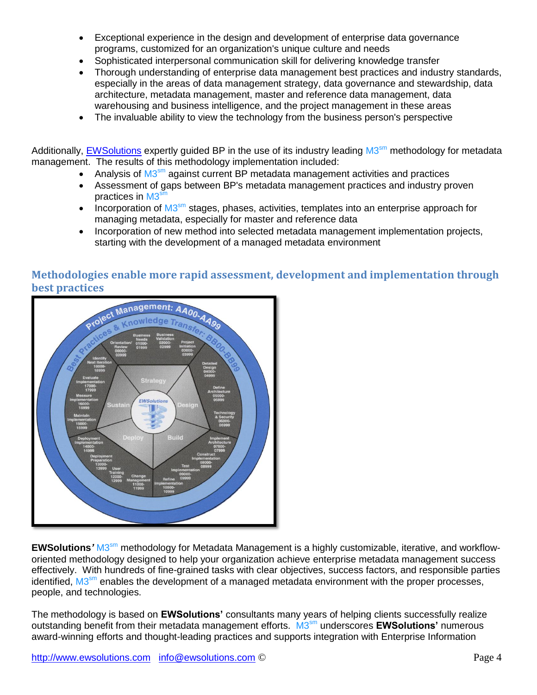- Exceptional experience in the design and development of enterprise data governance programs, customized for an organization's unique culture and needs
- Sophisticated interpersonal communication skill for delivering knowledge transfer
- Thorough understanding of enterprise data management best practices and industry standards, especially in the areas of data management strategy, data governance and stewardship, data architecture, metadata management, master and reference data management, data warehousing and business intelligence, and the project management in these areas
- The invaluable ability to view the technology from the business person's perspective

Additionally, **EWSolutions** expertly guided BP in the use of its industry leading M3<sup>sm</sup> methodology for metadata management. The results of this methodology implementation included:

- Analysis of M3<sup>sm</sup> against current BP metadata management activities and practices
- Assessment of gaps between BP's metadata management practices and industry proven practices in M3<sup>sm</sup>
- Incorporation of  $M3<sup>sm</sup>$  stages, phases, activities, templates into an enterprise approach for managing metadata, especially for master and reference data
- Incorporation of new method into selected metadata management implementation projects, starting with the development of a managed metadata environment



## **Methodologies enable more rapid assessment, development and implementation through best practices**

EWSolutions' M3<sup>sm</sup> methodology for Metadata Management is a highly customizable, iterative, and workfloworiented methodology designed to help your organization achieve enterprise metadata management success effectively. With hundreds of fine-grained tasks with clear objectives, success factors, and responsible parties identified, M3<sup>sm</sup> enables the development of a managed metadata environment with the proper processes, people, and technologies.

The methodology is based on **EWSolutions'** consultants many years of helping clients successfully realize outstanding benefit from their metadata management efforts. M3 sm underscores **EWSolutions'** numerous award-winning efforts and thought-leading practices and supports integration with Enterprise Information